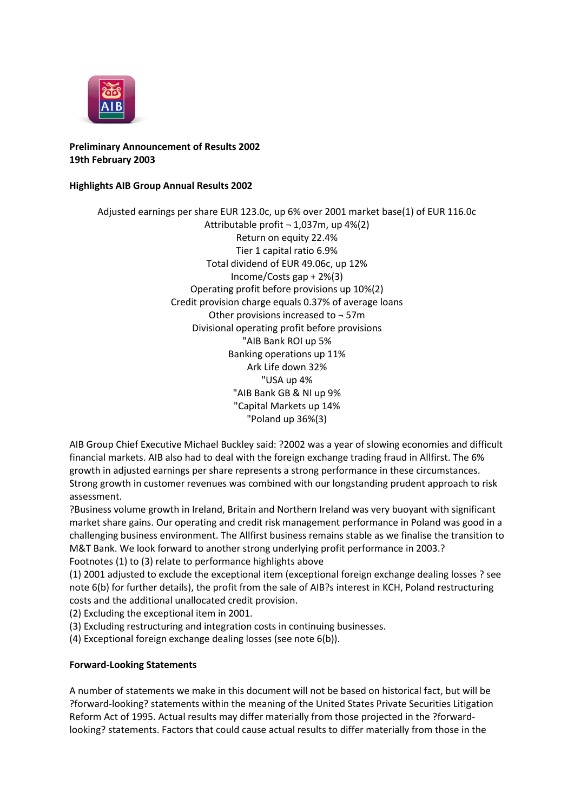

**Preliminary Announcement of Results 2002 19th February 2003**

## **Highlights AIB Group Annual Results 2002**

Adjusted earnings per share EUR 123.0c, up 6% over 2001 market base(1) of EUR 116.0c Attributable profit  $\neg$  1,037m, up 4%(2) Return on equity 22.4% Tier 1 capital ratio 6.9% Total dividend of EUR 49.06c, up 12% Income/Costs gap + 2%(3) Operating profit before provisions up 10%(2) Credit provision charge equals 0.37% of average loans Other provisions increased to ¬ 57m Divisional operating profit before provisions "AIB Bank ROI up 5% Banking operations up 11% Ark Life down 32% "USA up 4% "AIB Bank GB & NI up 9% "Capital Markets up 14% "Poland up 36%(3)

AIB Group Chief Executive Michael Buckley said: ?2002 was a year of slowing economies and difficult financial markets. AIB also had to deal with the foreign exchange trading fraud in Allfirst. The 6% growth in adjusted earnings per share represents a strong performance in these circumstances. Strong growth in customer revenues was combined with our longstanding prudent approach to risk assessment.

?Business volume growth in Ireland, Britain and Northern Ireland was very buoyant with significant market share gains. Our operating and credit risk management performance in Poland was good in a challenging business environment. The Allfirst business remains stable as we finalise the transition to M&T Bank. We look forward to another strong underlying profit performance in 2003.? Footnotes (1) to (3) relate to performance highlights above

(1) 2001 adjusted to exclude the exceptional item (exceptional foreign exchange dealing losses ? see note 6(b) for further details), the profit from the sale of AIB?s interest in KCH, Poland restructuring costs and the additional unallocated credit provision.

(2) Excluding the exceptional item in 2001.

(3) Excluding restructuring and integration costs in continuing businesses.

(4) Exceptional foreign exchange dealing losses (see note 6(b)).

## **Forward-Looking Statements**

A number of statements we make in this document will not be based on historical fact, but will be ?forward-looking? statements within the meaning of the United States Private Securities Litigation Reform Act of 1995. Actual results may differ materially from those projected in the ?forwardlooking? statements. Factors that could cause actual results to differ materially from those in the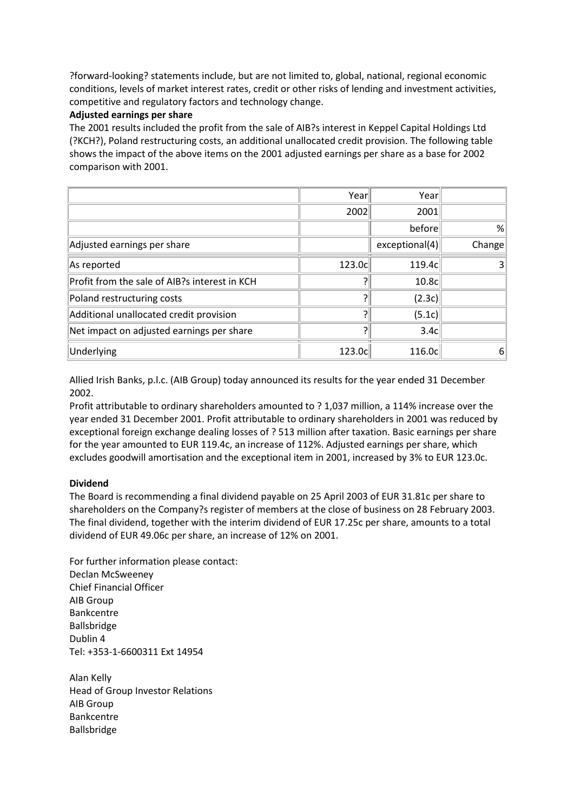?forward-looking? statements include, but are not limited to, global, national, regional economic conditions, levels of market interest rates, credit or other risks of lending and investment activities, competitive and regulatory factors and technology change.

## **Adjusted earnings per share**

The 2001 results included the profit from the sale of AIB?s interest in Keppel Capital Holdings Ltd (?KCH?), Poland restructuring costs, an additional unallocated credit provision. The following table shows the impact of the above items on the 2001 adjusted earnings per share as a base for 2002 comparison with 2001.

|                                               | Year   | Year             |        |
|-----------------------------------------------|--------|------------------|--------|
|                                               | 2002   | 2001             |        |
|                                               |        | before           | %      |
| Adjusted earnings per share                   |        | exceptional(4)   | Change |
| As reported                                   | 123.0c | 119.4c           |        |
| Profit from the sale of AIB?s interest in KCH |        | 10.8c            |        |
| Poland restructuring costs                    | ን      | (2.3c)           |        |
| Additional unallocated credit provision       | ว      | (5.1c)           |        |
| Net impact on adjusted earnings per share     | ว      | 3.4 <sub>c</sub> |        |
| Underlying                                    | 123.0c | 116.0c           | 6      |

Allied Irish Banks, p.l.c. (AIB Group) today announced its results for the year ended 31 December 2002.

Profit attributable to ordinary shareholders amounted to ? 1,037 million, a 114% increase over the year ended 31 December 2001. Profit attributable to ordinary shareholders in 2001 was reduced by exceptional foreign exchange dealing losses of ? 513 million after taxation. Basic earnings per share for the year amounted to EUR 119.4c, an increase of 112%. Adjusted earnings per share, which excludes goodwill amortisation and the exceptional item in 2001, increased by 3% to EUR 123.0c.

## **Dividend**

The Board is recommending a final dividend payable on 25 April 2003 of EUR 31.81c per share to shareholders on the Company?s register of members at the close of business on 28 February 2003. The final dividend, together with the interim dividend of EUR 17.25c per share, amounts to a total dividend of EUR 49.06c per share, an increase of 12% on 2001.

For further information please contact: Declan McSweeney Chief Financial Officer AIB Group Bankcentre Ballsbridge Dublin 4 Tel: +353-1-6600311 Ext 14954

Alan Kelly Head of Group Investor Relations AIB Group Bankcentre Ballsbridge